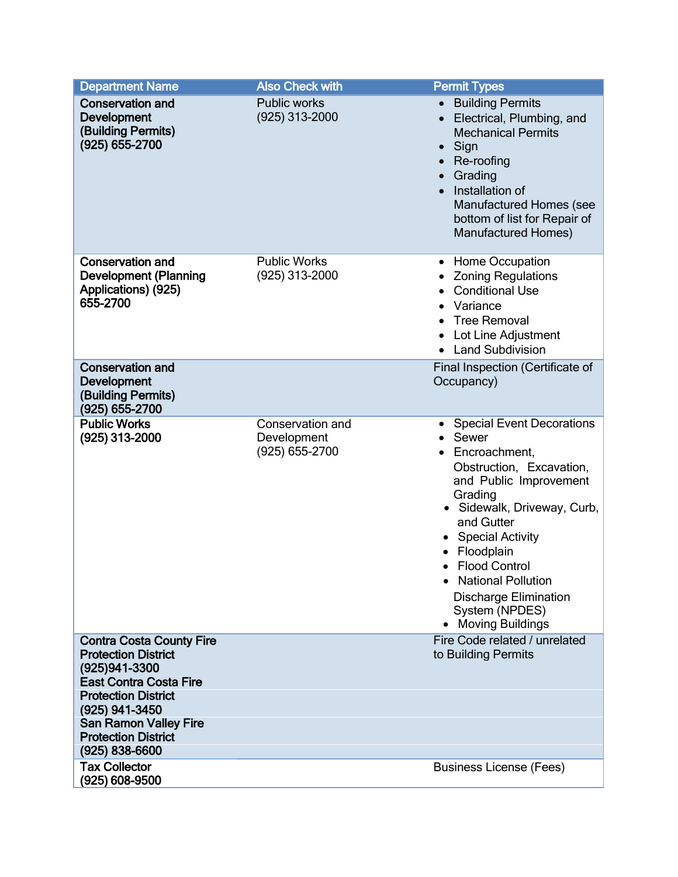| <b>Department Name</b>                                                                                                                                                                                                                             | <b>Also Check with</b>                            | <b>Permit Types</b>                                                                                                                                                                                                                                                                                                                                    |
|----------------------------------------------------------------------------------------------------------------------------------------------------------------------------------------------------------------------------------------------------|---------------------------------------------------|--------------------------------------------------------------------------------------------------------------------------------------------------------------------------------------------------------------------------------------------------------------------------------------------------------------------------------------------------------|
| <b>Conservation and</b><br><b>Development</b><br>(Building Permits)<br>(925) 655-2700                                                                                                                                                              | <b>Public works</b><br>(925) 313-2000             | <b>Building Permits</b><br>$\bullet$<br>Electrical, Plumbing, and<br><b>Mechanical Permits</b><br>Sign<br>$\bullet$<br>Re-roofing<br>Grading<br>Installation of<br>Manufactured Homes (see<br>bottom of list for Repair of<br><b>Manufactured Homes)</b>                                                                                               |
| <b>Conservation and</b><br><b>Development (Planning</b><br>Applications) (925)<br>655-2700                                                                                                                                                         | <b>Public Works</b><br>(925) 313-2000             | • Home Occupation<br><b>Zoning Regulations</b><br><b>Conditional Use</b><br>Variance<br><b>Tree Removal</b><br>Lot Line Adjustment<br><b>Land Subdivision</b>                                                                                                                                                                                          |
| <b>Conservation and</b><br><b>Development</b><br>(Building Permits)<br>(925) 655-2700                                                                                                                                                              |                                                   | Final Inspection (Certificate of<br>Occupancy)                                                                                                                                                                                                                                                                                                         |
| <b>Public Works</b><br>(925) 313-2000                                                                                                                                                                                                              | Conservation and<br>Development<br>(925) 655-2700 | <b>Special Event Decorations</b><br>Sewer<br>Encroachment,<br>Obstruction, Excavation,<br>and Public Improvement<br>Grading<br>· Sidewalk, Driveway, Curb,<br>and Gutter<br><b>Special Activity</b><br>Floodplain<br><b>Flood Control</b><br>$\bullet$<br>• National Pollution<br><b>Discharge Elimination</b><br>System (NPDES)<br>• Moving Buildings |
| <b>Contra Costa County Fire</b><br><b>Protection District</b><br>(925) 941-3300<br><b>East Contra Costa Fire</b><br><b>Protection District</b><br>(925) 941-3450<br><b>San Ramon Valley Fire</b><br><b>Protection District</b><br>$(925)$ 838-6600 |                                                   | Fire Code related / unrelated<br>to Building Permits                                                                                                                                                                                                                                                                                                   |
| <b>Tax Collector</b><br>(925) 608-9500                                                                                                                                                                                                             |                                                   | <b>Business License (Fees)</b>                                                                                                                                                                                                                                                                                                                         |